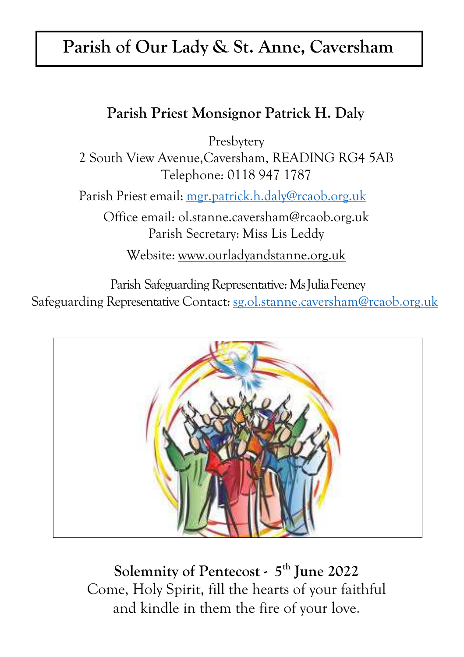## **Parish of Our Lady & St. Anne, Caversham**

## **Parish Priest Monsignor Patrick H. Daly**

Presbytery

2 South View Avenue,Caversham, READING RG4 5AB Telephone: 0118 947 1787

Parish Priest email: [mgr.patrick.h.daly@rcaob.org.uk](mailto:mgr.patrick.h.daly@rcaob.org.uk)

Office email: [ol.stanne.caversham@rcaob.org.uk](mailto:ol.stanne.caversham@rcaob.org.uk) Parish Secretary: Miss Lis Leddy

Website: [www.ourladyandstanne.org.uk](http://www.ourladyandstanne.org.uk/)

Parish Safeguarding Representative: Ms Julia Feeney Safeguarding Representative Contact: [sg.ol.stanne.caversham@rcaob.org.uk](mailto:sg.ol.stanne.caversham@rcaob.org.uk)



**Solemnity of Pentecost - 5 th June 2022** Come, Holy Spirit, fill the hearts of your faithful and kindle in them the fire of your love.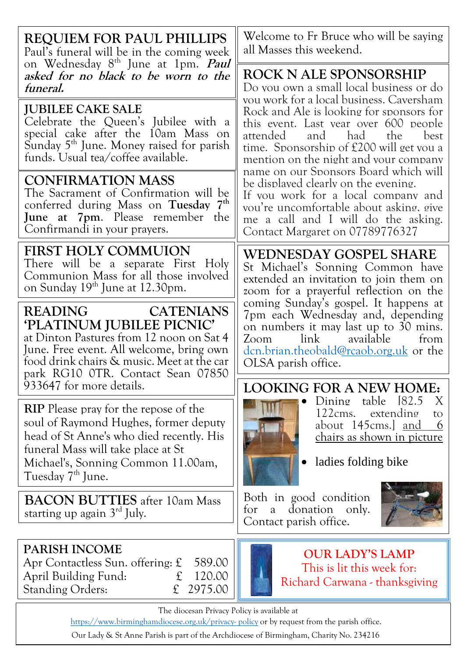| <b>REQUIEM FOR PAUL PHILLIPS</b><br>Paul's funeral will be in the coming week                                                                                                                                                                                              | Welcome to Fr Bruce who will be saying<br>all Masses this weekend.                                                                                                                                                                        |  |  |
|----------------------------------------------------------------------------------------------------------------------------------------------------------------------------------------------------------------------------------------------------------------------------|-------------------------------------------------------------------------------------------------------------------------------------------------------------------------------------------------------------------------------------------|--|--|
| on Wednesday 8 <sup>th</sup> June at 1pm. <i>Paul</i><br>asked for no black to be worn to the<br>funeral.                                                                                                                                                                  | <b>ROCK N ALE SPONSORSHIP</b><br>Do you own a small local business or do<br>vou work for a local business. Caversham                                                                                                                      |  |  |
| <b>JUBILEE CAKE SALE</b><br>Celebrate the Queen's Jubilee with a<br>special cake after the 10am Mass on<br>Sunday 5 <sup>th</sup> June. Money raised for parish<br>funds. Usual tea/coffee available.                                                                      | Rock and Ale is looking for sponsors for<br>this event. Last vear over 600 people<br>attended<br>and had<br>the<br>best<br>time. Sponsorship of £200 will get you a<br>mention on the night and your company                              |  |  |
| <b>CONFIRMATION MASS</b><br>The Sacrament of Confirmation will be<br>conferred during Mass on Tuesday 7th<br><b>June at 7pm.</b> Please remember the<br>Confirmandi in your prayers.                                                                                       | name on our Sponsors Board which will<br>be displayed clearly on the evening.<br>If you work for a local company and<br>vou're uncomfortable about asking, give<br>me a call and I will do the asking.<br>Contact Margaret on 07789776327 |  |  |
| <b>FIRST HOLY COMMUION</b><br>There will be a separate First Holy<br>Communion Mass for all those involved<br>on Sunday 19 <sup>th</sup> June at 12.30pm.                                                                                                                  | WEDNESDAY GOSPEL SHARE<br>St Michael's Sonning Common have<br>extended an invitation to join them on<br>zoom for a prayerful reflection on the                                                                                            |  |  |
| <b>READING</b><br><b>CATENIANS</b><br>'PLATINUM JUBILEE PICNIC'<br>at Dinton Pastures from 12 noon on Sat 4<br>June. Free event. All welcome, bring own<br>food drink chairs & music. Meet at the car<br>park RG10 OTR. Contact Sean 07850                                 | coming Sunday's gospel. It happens at<br>7pm each Wednesday and, depending<br>on numbers it may last up to 30 mins.<br>Zoom<br>link<br>available<br>from<br>dcn.brian.theobald@rcaob.org.uk or the<br>OLSA parish office.                 |  |  |
| 933647 for more details.<br><b>RIP</b> Please pray for the repose of the<br>soul of Raymond Hughes, former deputy<br>head of St Anne's who died recently. His<br>funeral Mass will take place at St<br>Michael's, Sonning Common 11.00am,<br>Tuesday 7 <sup>th</sup> June. | <b>LOOKING FOR A NEW HOME:</b><br>table 182.5<br>Dining<br>X<br>122cms. extending<br>to<br>about 145cms.] and<br>6<br><u>chairs as shown in picture</u><br>ladies folding bike                                                            |  |  |
| <b>BACON BUTTIES</b> after 10am Mass<br>starting up again $3rd$ July.                                                                                                                                                                                                      | Both in good condition<br>donation<br>for<br>only.<br>a<br>Contact parish office.                                                                                                                                                         |  |  |
| <b>PARISH INCOME</b><br>Apr Contactless Sun. offering: $\mathfrak L$<br>589.00<br>120.00<br>April Building Fund:<br>£<br>2975.00<br>f<br><b>Standing Orders:</b>                                                                                                           | <b>OUR LADY'S LAMP</b><br>This is lit this week for:<br>Richard Carwana - thanksgiving                                                                                                                                                    |  |  |
| The diocesan Privacy Policy is available at<br>https://www.birminghamdiocese.org.uk/privacy-policy or by request from the parish office.                                                                                                                                   |                                                                                                                                                                                                                                           |  |  |

Our Lady & St Anne Parish is part of the Archdiocese of Birmingham, Charity No. 234216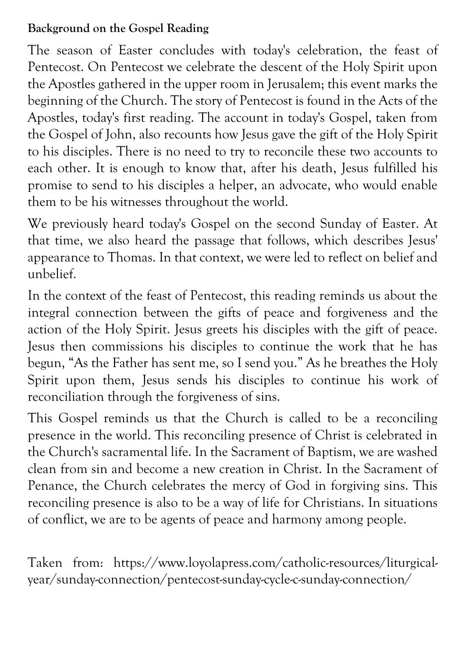## **Background on the Gospel Reading**

The season of Easter concludes with today's celebration, the feast of Pentecost. On Pentecost we celebrate the descent of the Holy Spirit upon the Apostles gathered in the upper room in Jerusalem; this event marks the beginning of the Church. The story of Pentecost is found in the Acts of the Apostles, today's first reading. The account in today's Gospel, taken from the Gospel of John, also recounts how Jesus gave the gift of the Holy Spirit to his disciples. There is no need to try to reconcile these two accounts to each other. It is enough to know that, after his death, Jesus fulfilled his promise to send to his disciples a helper, an advocate, who would enable them to be his witnesses throughout the world.

We previously heard today's Gospel on the second Sunday of Easter. At that time, we also heard the passage that follows, which describes Jesus' appearance to Thomas. In that context, we were led to reflect on belief and unbelief.

In the context of the feast of Pentecost, this reading reminds us about the integral connection between the gifts of peace and forgiveness and the action of the Holy Spirit. Jesus greets his disciples with the gift of peace. Jesus then commissions his disciples to continue the work that he has begun, "As the Father has sent me, so I send you." As he breathes the Holy Spirit upon them, Jesus sends his disciples to continue his work of reconciliation through the forgiveness of sins.

This Gospel reminds us that the Church is called to be a reconciling presence in the world. This reconciling presence of Christ is celebrated in the Church's sacramental life. In the Sacrament of Baptism, we are washed clean from sin and become a new creation in Christ. In the Sacrament of Penance, the Church celebrates the mercy of God in forgiving sins. This reconciling presence is also to be a way of life for Christians. In situations of conflict, we are to be agents of peace and harmony among people.

Taken from: https://www.loyolapress.com/catholic-resources/liturgicalyear/sunday-connection/pentecost-sunday-cycle-c-sunday-connection/